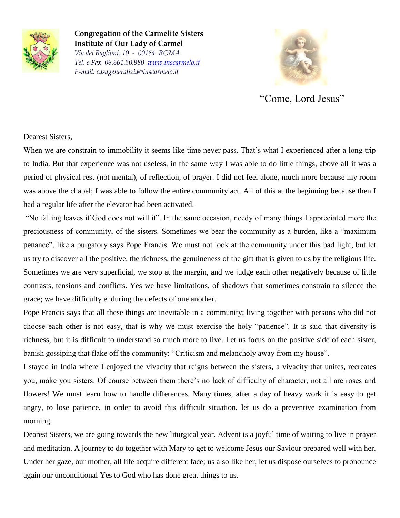

**Congregation of the Carmelite Sisters Institute of Our Lady of Carmel** *Via dei Baglioni, 10 - 00164 ROMA Tel. e Fax 06.661.50.980 [www.inscarmelo.it](http://www.inscarmelo.it/) E-mail: casageneralizia@inscarmelo.it*



"Come, Lord Jesus"

## Dearest Sisters,

When we are constrain to immobility it seems like time never pass. That's what I experienced after a long trip to India. But that experience was not useless, in the same way I was able to do little things, above all it was a period of physical rest (not mental), of reflection, of prayer. I did not feel alone, much more because my room was above the chapel; I was able to follow the entire community act. All of this at the beginning because then I had a regular life after the elevator had been activated.

"No falling leaves if God does not will it". In the same occasion, needy of many things I appreciated more the preciousness of community, of the sisters. Sometimes we bear the community as a burden, like a "maximum penance", like a purgatory says Pope Francis. We must not look at the community under this bad light, but let us try to discover all the positive, the richness, the genuineness of the gift that is given to us by the religious life. Sometimes we are very superficial, we stop at the margin, and we judge each other negatively because of little contrasts, tensions and conflicts. Yes we have limitations, of shadows that sometimes constrain to silence the grace; we have difficulty enduring the defects of one another.

Pope Francis says that all these things are inevitable in a community; living together with persons who did not choose each other is not easy, that is why we must exercise the holy "patience". It is said that diversity is richness, but it is difficult to understand so much more to live. Let us focus on the positive side of each sister, banish gossiping that flake off the community: "Criticism and melancholy away from my house".

I stayed in India where I enjoyed the vivacity that reigns between the sisters, a vivacity that unites, recreates you, make you sisters. Of course between them there's no lack of difficulty of character, not all are roses and flowers! We must learn how to handle differences. Many times, after a day of heavy work it is easy to get angry, to lose patience, in order to avoid this difficult situation, let us do a preventive examination from morning.

Dearest Sisters, we are going towards the new liturgical year. Advent is a joyful time of waiting to live in prayer and meditation. A journey to do together with Mary to get to welcome Jesus our Saviour prepared well with her. Under her gaze, our mother, all life acquire different face; us also like her, let us dispose ourselves to pronounce again our unconditional Yes to God who has done great things to us.